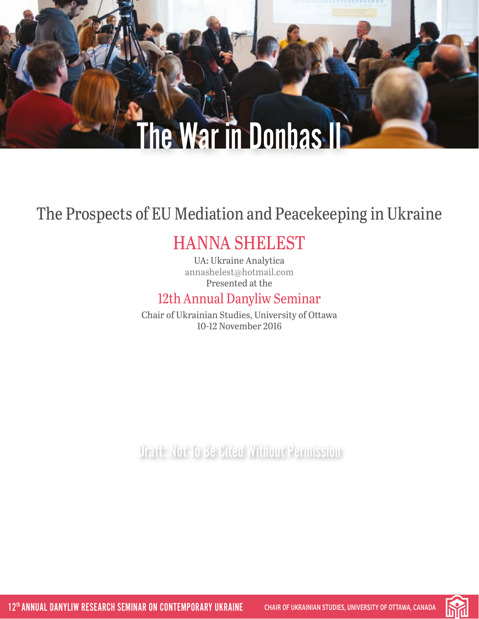# **The War in Donbas II**

## The Prospects of EU Mediation and Peacekeeping in Ukraine

## HANNA SHELEST

UA: Ukraine Analytica [annashelest@hotmail.com](mailto:annashelest%40hotmail.com?subject=) Presented at the

### 12th Annual Danyliw Seminar

Chair of Ukrainian Studies, University of Ottawa 10-12 November 2016

Draft: Not To Be Cited Without Permission

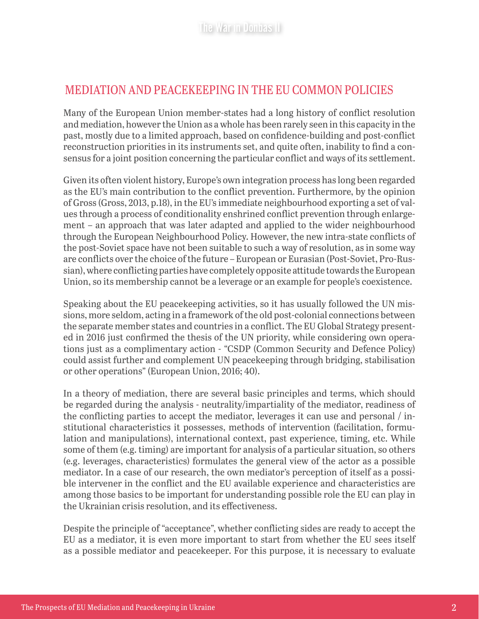#### MEDIATION AND PEACEKEEPING IN THE EU COMMON POLICIES

Many of the European Union member-states had a long history of conflict resolution and mediation, however the Union as a whole has been rarely seen in this capacity in the past, mostly due to a limited approach, based on confidence-building and post-conflict reconstruction priorities in its instruments set, and quite often, inability to find a consensus for a joint position concerning the particular conflict and ways of its settlement.

Given its often violent history, Europe's own integration process has long been regarded as the EU's main contribution to the conflict prevention. Furthermore, by the opinion of Gross (Gross, 2013, p.18), in the EU's immediate neighbourhood exporting a set of values through a process of conditionality enshrined conflict prevention through enlargement – an approach that was later adapted and applied to the wider neighbourhood through the European Neighbourhood Policy. However, the new intra-state conflicts of the post-Soviet space have not been suitable to such a way of resolution, as in some way are conflicts over the choice of the future – European or Eurasian (Post-Soviet, Pro-Russian), where conflicting parties have completely opposite attitude towards the European Union, so its membership cannot be a leverage or an example for people's coexistence.

Speaking about the EU peacekeeping activities, so it has usually followed the UN missions, more seldom, acting in a framework of the old post-colonial connections between the separate member states and countries in a conflict. The EU Global Strategy presented in 2016 just confirmed the thesis of the UN priority, while considering own operations just as a complimentary action - "CSDP (Common Security and Defence Policy) could assist further and complement UN peacekeeping through bridging, stabilisation or other operations" (European Union, 2016; 40).

In a theory of mediation, there are several basic principles and terms, which should be regarded during the analysis - neutrality/impartiality of the mediator, readiness of the conflicting parties to accept the mediator, leverages it can use and personal / institutional characteristics it possesses, methods of intervention (facilitation, formulation and manipulations), international context, past experience, timing, etc. While some of them (e.g. timing) are important for analysis of a particular situation, so others (e.g. leverages, characteristics) formulates the general view of the actor as a possible mediator. In a case of our research, the own mediator's perception of itself as a possible intervener in the conflict and the EU available experience and characteristics are among those basics to be important for understanding possible role the EU can play in the Ukrainian crisis resolution, and its effectiveness.

Despite the principle of "acceptance", whether conflicting sides are ready to accept the EU as a mediator, it is even more important to start from whether the EU sees itself as a possible mediator and peacekeeper. For this purpose, it is necessary to evaluate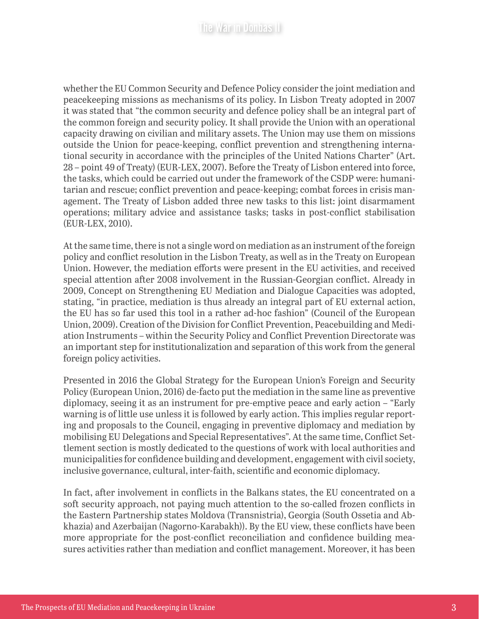whether the EU Common Security and Defence Policy consider the joint mediation and peacekeeping missions as mechanisms of its policy. In Lisbon Treaty adopted in 2007 it was stated that "the common security and defence policy shall be an integral part of the common foreign and security policy. It shall provide the Union with an operational capacity drawing on civilian and military assets. The Union may use them on missions outside the Union for peace-keeping, conflict prevention and strengthening international security in accordance with the principles of the United Nations Charter" (Art. 28 – point 49 of Treaty) (EUR-LEX, 2007). Before the Treaty of Lisbon entered into force, the tasks, which could be carried out under the framework of the CSDP were: humanitarian and rescue; conflict prevention and peace-keeping; combat forces in crisis management. The Treaty of Lisbon added three new tasks to this list: joint disarmament operations; military advice and assistance tasks; tasks in post-conflict stabilisation (EUR-LEX, 2010).

At the same time, there is not a single word on mediation as an instrument of the foreign policy and conflict resolution in the Lisbon Treaty, as well as in the Treaty on European Union. However, the mediation efforts were present in the EU activities, and received special attention after 2008 involvement in the Russian-Georgian conflict. Already in 2009, Concept on Strengthening EU Mediation and Dialogue Capacities was adopted, stating, "in practice, mediation is thus already an integral part of EU external action, the EU has so far used this tool in a rather ad-hoc fashion" (Council of the European Union, 2009). Creation of the Division for Conflict Prevention, Peacebuilding and Mediation Instruments – within the Security Policy and Conflict Prevention Directorate was an important step for institutionalization and separation of this work from the general foreign policy activities.

Presented in 2016 the Global Strategy for the European Union's Foreign and Security Policy (European Union, 2016) de-facto put the mediation in the same line as preventive diplomacy, seeing it as an instrument for pre-emptive peace and early action – "Early warning is of little use unless it is followed by early action. This implies regular reporting and proposals to the Council, engaging in preventive diplomacy and mediation by mobilising EU Delegations and Special Representatives". At the same time, Conflict Settlement section is mostly dedicated to the questions of work with local authorities and municipalities for confidence building and development, engagement with civil society, inclusive governance, cultural, inter-faith, scientific and economic diplomacy.

In fact, after involvement in conflicts in the Balkans states, the EU concentrated on a soft security approach, not paying much attention to the so-called frozen conflicts in the Eastern Partnership states Moldova (Transnistria), Georgia (South Ossetia and Abkhazia) and Azerbaijan (Nagorno-Karabakh)). By the EU view, these conflicts have been more appropriate for the post-conflict reconciliation and confidence building measures activities rather than mediation and conflict management. Moreover, it has been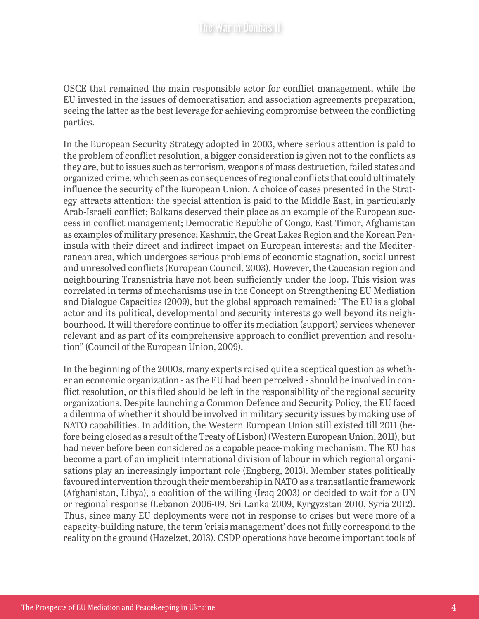OSCE that remained the main responsible actor for conflict management, while the EU invested in the issues of democratisation and association agreements preparation, seeing the latter as the best leverage for achieving compromise between the conflicting parties.

In the European Security Strategy adopted in 2003, where serious attention is paid to the problem of conflict resolution, a bigger consideration is given not to the conflicts as they are, but to issues such as terrorism, weapons of mass destruction, failed states and organized crime, which seen as consequences of regional conflicts that could ultimately influence the security of the European Union. A choice of cases presented in the Strategy attracts attention: the special attention is paid to the Middle East, in particularly Arab-Israeli conflict; Balkans deserved their place as an example of the European success in conflict management; Democratic Republic of Congo, East Timor, Afghanistan as examples of military presence; Kashmir, the Great Lakes Region and the Korean Peninsula with their direct and indirect impact on European interests; and the Mediterranean area, which undergoes serious problems of economic stagnation, social unrest and unresolved conflicts (European Council, 2003). However, the Caucasian region and neighbouring Transnistria have not been sufficiently under the loop. This vision was correlated in terms of mechanisms use in the Concept on Strengthening EU Mediation and Dialogue Capacities (2009), but the global approach remained: "The EU is a global actor and its political, developmental and security interests go well beyond its neighbourhood. It will therefore continue to offer its mediation (support) services whenever relevant and as part of its comprehensive approach to conflict prevention and resolution" (Council of the European Union, 2009).

In the beginning of the 2000s, many experts raised quite a sceptical question as whether an economic organization - as the EU had been perceived - should be involved in conflict resolution, or this filed should be left in the responsibility of the regional security organizations. Despite launching a Common Defence and Security Policy, the EU faced a dilemma of whether it should be involved in military security issues by making use of NATO capabilities. In addition, the Western European Union still existed till 2011 (before being closed as a result of the Treaty of Lisbon) (Western European Union, 2011), but had never before been considered as a capable peace-making mechanism. The EU has become a part of an implicit international division of labour in which regional organisations play an increasingly important role (Engberg, 2013). Member states politically favoured intervention through their membership in NATO as a transatlantic framework (Afghanistan, Libya), a coalition of the willing (Iraq 2003) or decided to wait for a UN or regional response (Lebanon 2006-09, Sri Lanka 2009, Kyrgyzstan 2010, Syria 2012). Thus, since many EU deployments were not in response to crises but were more of a capacity-building nature, the term 'crisis management' does not fully correspond to the reality on the ground (Hazelzet, 2013). CSDP operations have become important tools of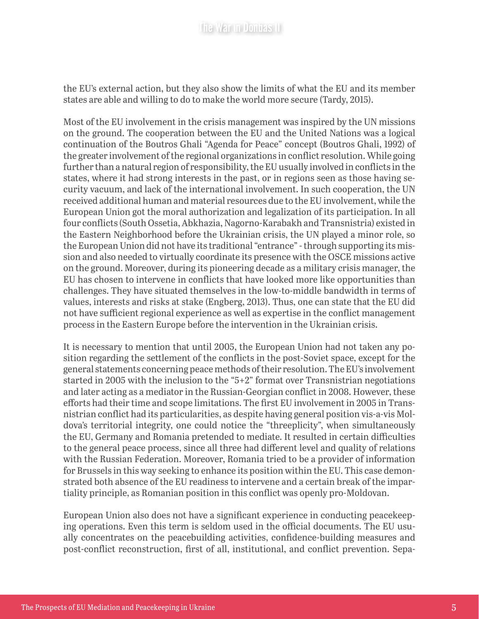the EU's external action, but they also show the limits of what the EU and its member states are able and willing to do to make the world more secure (Tardy, 2015).

Most of the EU involvement in the crisis management was inspired by the UN missions on the ground. The cooperation between the EU and the United Nations was a logical continuation of the Boutros Ghali "Agenda for Peace" concept (Boutros Ghali, 1992) of the greater involvement of the regional organizations in conflict resolution. While going further than a natural region of responsibility, the EU usually involved in conflicts in the states, where it had strong interests in the past, or in regions seen as those having security vacuum, and lack of the international involvement. In such cooperation, the UN received additional human and material resources due to the EU involvement, while the European Union got the moral authorization and legalization of its participation. In all four conflicts (South Ossetia, Abkhazia, Nagorno-Karabakh and Transnistria) existed in the Eastern Neighborhood before the Ukrainian crisis, the UN played a minor role, so the European Union did not have its traditional "entrance" - through supporting its mission and also needed to virtually coordinate its presence with the OSCE missions active on the ground. Moreover, during its pioneering decade as a military crisis manager, the EU has chosen to intervene in conflicts that have looked more like opportunities than challenges. They have situated themselves in the low-to-middle bandwidth in terms of values, interests and risks at stake (Engberg, 2013). Thus, one can state that the EU did not have sufficient regional experience as well as expertise in the conflict management process in the Eastern Europe before the intervention in the Ukrainian crisis.

It is necessary to mention that until 2005, the European Union had not taken any position regarding the settlement of the conflicts in the post-Soviet space, except for the general statements concerning peace methods of their resolution. The EU's involvement started in 2005 with the inclusion to the "5+2" format over Transnistrian negotiations and later acting as a mediator in the Russian-Georgian conflict in 2008. However, these efforts had their time and scope limitations. The first EU involvement in 2005 in Transnistrian conflict had its particularities, as despite having general position vis-a-vis Moldova's territorial integrity, one could notice the "threeplicity", when simultaneously the EU, Germany and Romania pretended to mediate. It resulted in certain difficulties to the general peace process, since all three had different level and quality of relations with the Russian Federation. Moreover, Romania tried to be a provider of information for Brussels in this way seeking to enhance its position within the EU. This case demonstrated both absence of the EU readiness to intervene and a certain break of the impartiality principle, as Romanian position in this conflict was openly pro-Moldovan.

European Union also does not have a significant experience in conducting peacekeeping operations. Even this term is seldom used in the official documents. The EU usually concentrates on the peacebuilding activities, confidence-building measures and post-conflict reconstruction, first of all, institutional, and conflict prevention. Sepa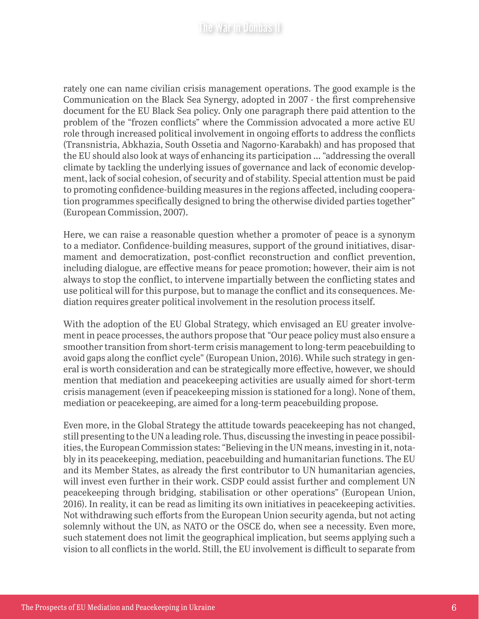rately one can name civilian crisis management operations. The good example is the Communication on the Black Sea Synergy, adopted in 2007 - the first comprehensive document for the EU Black Sea policy. Only one paragraph there paid attention to the problem of the "frozen conflicts" where the Commission advocated a more active EU role through increased political involvement in ongoing efforts to address the conflicts (Transnistria, Abkhazia, South Ossetia and Nagorno-Karabakh) and has proposed that the EU should also look at ways of enhancing its participation … "addressing the overall climate by tackling the underlying issues of governance and lack of economic development, lack of social cohesion, of security and of stability. Special attention must be paid to promoting confidence-building measures in the regions affected, including cooperation programmes specifically designed to bring the otherwise divided parties together" (European Commission, 2007).

Here, we can raise a reasonable question whether a promoter of peace is a synonym to a mediator. Confidence-building measures, support of the ground initiatives, disarmament and democratization, post-conflict reconstruction and conflict prevention, including dialogue, are effective means for peace promotion; however, their aim is not always to stop the conflict, to intervene impartially between the conflicting states and use political will for this purpose, but to manage the conflict and its consequences. Mediation requires greater political involvement in the resolution process itself.

With the adoption of the EU Global Strategy, which envisaged an EU greater involvement in peace processes, the authors propose that "Our peace policy must also ensure a smoother transition from short-term crisis management to long-term peacebuilding to avoid gaps along the conflict cycle" (European Union, 2016). While such strategy in general is worth consideration and can be strategically more effective, however, we should mention that mediation and peacekeeping activities are usually aimed for short-term crisis management (even if peacekeeping mission is stationed for a long). None of them, mediation or peacekeeping, are aimed for a long-term peacebuilding propose.

Even more, in the Global Strategy the attitude towards peacekeeping has not changed, still presenting to the UN a leading role. Thus, discussing the investing in peace possibilities, the European Commission states: "Believing in the UN means, investing in it, notably in its peacekeeping, mediation, peacebuilding and humanitarian functions. The EU and its Member States, as already the first contributor to UN humanitarian agencies, will invest even further in their work. CSDP could assist further and complement UN peacekeeping through bridging, stabilisation or other operations" (European Union, 2016). In reality, it can be read as limiting its own initiatives in peacekeeping activities. Not withdrawing such efforts from the European Union security agenda, but not acting solemnly without the UN, as NATO or the OSCE do, when see a necessity. Even more, such statement does not limit the geographical implication, but seems applying such a vision to all conflicts in the world. Still, the EU involvement is difficult to separate from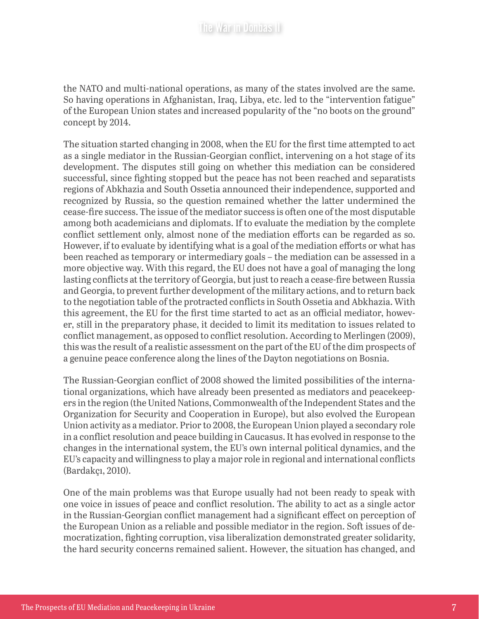the NATO and multi-national operations, as many of the states involved are the same. So having operations in Afghanistan, Iraq, Libya, etc. led to the "intervention fatigue" of the European Union states and increased popularity of the "no boots on the ground" concept by 2014.

The situation started changing in 2008, when the EU for the first time attempted to act as a single mediator in the Russian-Georgian conflict, intervening on a hot stage of its development. The disputes still going on whether this mediation can be considered successful, since fighting stopped but the peace has not been reached and separatists regions of Abkhazia and South Ossetia announced their independence, supported and recognized by Russia, so the question remained whether the latter undermined the cease-fire success. The issue of the mediator success is often one of the most disputable among both academicians and diplomats. If to evaluate the mediation by the complete conflict settlement only, almost none of the mediation efforts can be regarded as so. However, if to evaluate by identifying what is a goal of the mediation efforts or what has been reached as temporary or intermediary goals – the mediation can be assessed in a more objective way. With this regard, the EU does not have a goal of managing the long lasting conflicts at the territory of Georgia, but just to reach a cease-fire between Russia and Georgia, to prevent further development of the military actions, and to return back to the negotiation table of the protracted conflicts in South Ossetia and Abkhazia. With this agreement, the EU for the first time started to act as an official mediator, however, still in the preparatory phase, it decided to limit its meditation to issues related to conflict management, as opposed to conflict resolution. According to Merlingen (2009), this was the result of a realistic assessment on the part of the EU of the dim prospects of a genuine peace conference along the lines of the Dayton negotiations on Bosnia.

The Russian-Georgian conflict of 2008 showed the limited possibilities of the international organizations, which have already been presented as mediators and peacekeepers in the region (the United Nations, Commonwealth of the Independent States and the Organization for Security and Cooperation in Europe), but also evolved the European Union activity as a mediator. Prior to 2008, the European Union played a secondary role in a conflict resolution and peace building in Caucasus. It has evolved in response to the changes in the international system, the EU's own internal political dynamics, and the EU's capacity and willingness to play a major role in regional and international conflicts (Bardakçı, 2010).

One of the main problems was that Europe usually had not been ready to speak with one voice in issues of peace and conflict resolution. The ability to act as a single actor in the Russian-Georgian conflict management had a significant effect on perception of the European Union as a reliable and possible mediator in the region. Soft issues of democratization, fighting corruption, visa liberalization demonstrated greater solidarity, the hard security concerns remained salient. However, the situation has changed, and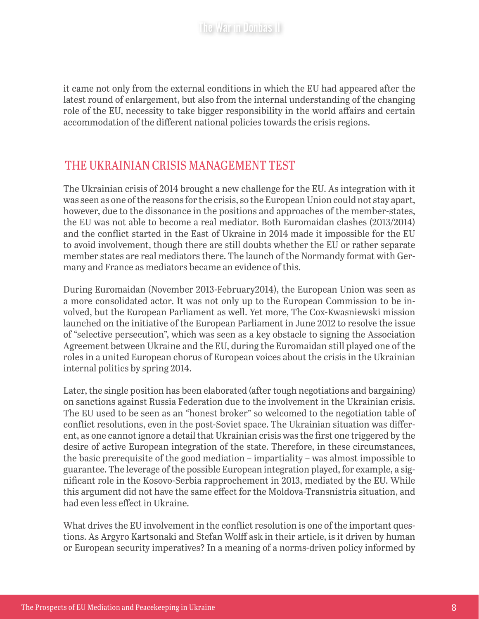it came not only from the external conditions in which the EU had appeared after the latest round of enlargement, but also from the internal understanding of the changing role of the EU, necessity to take bigger responsibility in the world affairs and certain accommodation of the different national policies towards the crisis regions.

#### THE UKRAINIAN CRISIS MANAGEMENT TEST

The Ukrainian crisis of 2014 brought a new challenge for the EU. As integration with it was seen as one of the reasons for the crisis, so the European Union could not stay apart, however, due to the dissonance in the positions and approaches of the member-states, the EU was not able to become a real mediator. Both Euromaidan clashes (2013/2014) and the conflict started in the East of Ukraine in 2014 made it impossible for the EU to avoid involvement, though there are still doubts whether the EU or rather separate member states are real mediators there. The launch of the Normandy format with Germany and France as mediators became an evidence of this.

During Euromaidan (November 2013-February2014), the European Union was seen as a more consolidated actor. It was not only up to the European Commission to be involved, but the European Parliament as well. Yet more, The Cox-Kwasniewski mission launched on the initiative of the European Parliament in June 2012 to resolve the issue of "selective persecution", which was seen as a key obstacle to signing the Association Agreement between Ukraine and the EU, during the Euromaidan still played one of the roles in a united European chorus of European voices about the crisis in the Ukrainian internal politics by spring 2014.

Later, the single position has been elaborated (after tough negotiations and bargaining) on sanctions against Russia Federation due to the involvement in the Ukrainian crisis. The EU used to be seen as an "honest broker" so welcomed to the negotiation table of conflict resolutions, even in the post-Soviet space. The Ukrainian situation was different, as one cannot ignore a detail that Ukrainian crisis was the first one triggered by the desire of active European integration of the state. Therefore, in these circumstances, the basic prerequisite of the good mediation – impartiality – was almost impossible to guarantee. The leverage of the possible European integration played, for example, a significant role in the Kosovo-Serbia rapprochement in 2013, mediated by the EU. While this argument did not have the same effect for the Moldova-Transnistria situation, and had even less effect in Ukraine.

What drives the EU involvement in the conflict resolution is one of the important questions. As Argyro Kartsonaki and Stefan Wolff ask in their article, is it driven by human or European security imperatives? In a meaning of a norms-driven policy informed by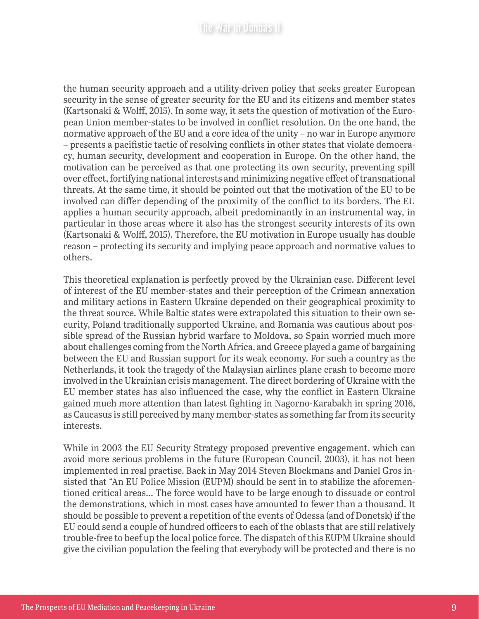the human security approach and a utility-driven policy that seeks greater European security in the sense of greater security for the EU and its citizens and member states (Kartsonaki & Wolff, 2015). In some way, it sets the question of motivation of the European Union member-states to be involved in conflict resolution. On the one hand, the normative approach of the EU and a core idea of the unity – no war in Europe anymore – presents a pacifistic tactic of resolving conflicts in other states that violate democracy, human security, development and cooperation in Europe. On the other hand, the motivation can be perceived as that one protecting its own security, preventing spill over effect, fortifying national interests and minimizing negative effect of transnational threats. At the same time, it should be pointed out that the motivation of the EU to be involved can differ depending of the proximity of the conflict to its borders. The EU applies a human security approach, albeit predominantly in an instrumental way, in particular in those areas where it also has the strongest security interests of its own (Kartsonaki & Wolff, 2015). Therefore, the EU motivation in Europe usually has double reason – protecting its security and implying peace approach and normative values to others.

This theoretical explanation is perfectly proved by the Ukrainian case. Different level of interest of the EU member-states and their perception of the Crimean annexation and military actions in Eastern Ukraine depended on their geographical proximity to the threat source. While Baltic states were extrapolated this situation to their own security, Poland traditionally supported Ukraine, and Romania was cautious about possible spread of the Russian hybrid warfare to Moldova, so Spain worried much more about challenges coming from the North Africa, and Greece played a game of bargaining between the EU and Russian support for its weak economy. For such a country as the Netherlands, it took the tragedy of the Malaysian airlines plane crash to become more involved in the Ukrainian crisis management. The direct bordering of Ukraine with the EU member states has also influenced the case, why the conflict in Eastern Ukraine gained much more attention than latest fighting in Nagorno-Karabakh in spring 2016, as Caucasus is still perceived by many member-states as something far from its security interests.

While in 2003 the EU Security Strategy proposed preventive engagement, which can avoid more serious problems in the future (European Council, 2003), it has not been implemented in real practise. Back in May 2014 Steven Blockmans and Daniel Gros insisted that "An EU Police Mission (EUPM) should be sent in to stabilize the aforementioned critical areas... The force would have to be large enough to dissuade or control the demonstrations, which in most cases have amounted to fewer than a thousand. It should be possible to prevent a repetition of the events of Odessa (and of Donetsk) if the EU could send a couple of hundred officers to each of the oblasts that are still relatively trouble-free to beef up the local police force. The dispatch of this EUPM Ukraine should give the civilian population the feeling that everybody will be protected and there is no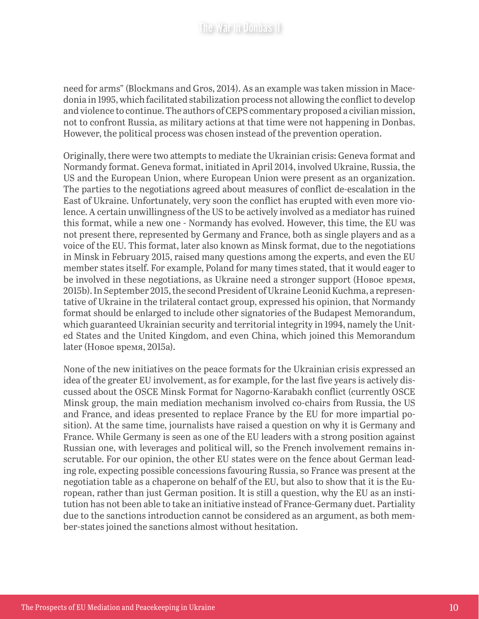need for arms" (Blockmans and Gros, 2014). As an example was taken mission in Macedonia in 1995, which facilitated stabilization process not allowing the conflict to develop and violence to continue. The authors of CEPS commentary proposed a civilian mission, not to confront Russia, as military actions at that time were not happening in Donbas. However, the political process was chosen instead of the prevention operation.

Originally, there were two attempts to mediate the Ukrainian crisis: Geneva format and Normandy format. Geneva format, initiated in April 2014, involved Ukraine, Russia, the US and the European Union, where European Union were present as an organization. The parties to the negotiations agreed about measures of conflict de-escalation in the East of Ukraine. Unfortunately, very soon the conflict has erupted with even more violence. A certain unwillingness of the US to be actively involved as a mediator has ruined this format, while a new one - Normandy has evolved. However, this time, the EU was not present there, represented by Germany and France, both as single players and as a voice of the EU. This format, later also known as Minsk format, due to the negotiations in Minsk in February 2015, raised many questions among the experts, and even the EU member states itself. For example, Poland for many times stated, that it would eager to be involved in these negotiations, as Ukraine need a stronger support (Новое время, 2015b). In September 2015, the second President of Ukraine Leonid Kuchma, a representative of Ukraine in the trilateral contact group, expressed his opinion, that Normandy format should be enlarged to include other signatories of the Budapest Memorandum, which guaranteed Ukrainian security and territorial integrity in 1994, namely the United States and the United Kingdom, and even China, which joined this Memorandum later (Новое время, 2015a).

None of the new initiatives on the peace formats for the Ukrainian crisis expressed an idea of the greater EU involvement, as for example, for the last five years is actively discussed about the OSCE Minsk Format for Nagorno-Karabakh conflict (currently OSCE Minsk group, the main mediation mechanism involved co-chairs from Russia, the US and France, and ideas presented to replace France by the EU for more impartial position). At the same time, journalists have raised a question on why it is Germany and France. While Germany is seen as one of the EU leaders with a strong position against Russian one, with leverages and political will, so the French involvement remains inscrutable. For our opinion, the other EU states were on the fence about German leading role, expecting possible concessions favouring Russia, so France was present at the negotiation table as a chaperone on behalf of the EU, but also to show that it is the European, rather than just German position. It is still a question, why the EU as an institution has not been able to take an initiative instead of France-Germany duet. Partiality due to the sanctions introduction cannot be considered as an argument, as both member-states joined the sanctions almost without hesitation.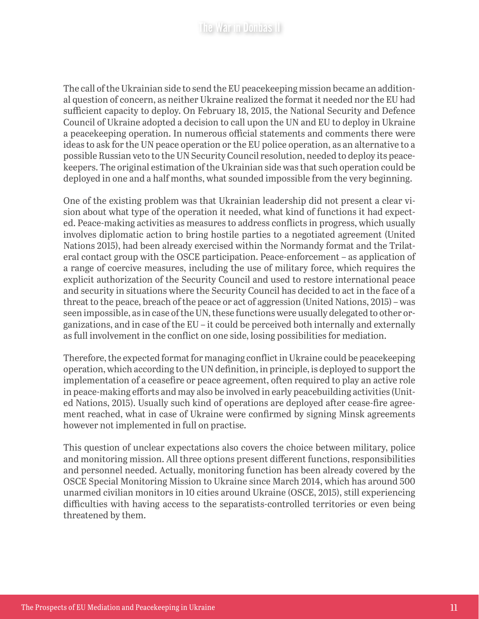The call of the Ukrainian side to send the EU peacekeeping mission became an additional question of concern, as neither Ukraine realized the format it needed nor the EU had sufficient capacity to deploy. On February 18, 2015, the National Security and Defence Council of Ukraine adopted a decision to call upon the UN and EU to deploy in Ukraine a peacekeeping operation. In numerous official statements and comments there were ideas to ask for the UN peace operation or the EU police operation, as an alternative to a possible Russian veto to the UN Security Council resolution, needed to deploy its peacekeepers. The original estimation of the Ukrainian side was that such operation could be deployed in one and a half months, what sounded impossible from the very beginning.

One of the existing problem was that Ukrainian leadership did not present a clear vision about what type of the operation it needed, what kind of functions it had expected. Peace-making activities as measures to address conflicts in progress, which usually involves diplomatic action to bring hostile parties to a negotiated agreement (United Nations 2015), had been already exercised within the Normandy format and the Trilateral contact group with the OSCE participation. Peace-enforcement – as application of a range of coercive measures, including the use of military force, which requires the explicit authorization of the Security Council and used to restore international peace and security in situations where the Security Council has decided to act in the face of a threat to the peace, breach of the peace or act of aggression (United Nations, 2015) – was seen impossible, as in case of the UN, these functions were usually delegated to other organizations, and in case of the EU – it could be perceived both internally and externally as full involvement in the conflict on one side, losing possibilities for mediation.

Therefore, the expected format for managing conflict in Ukraine could be peacekeeping operation, which according to the UN definition, in principle, is deployed to support the implementation of a ceasefire or peace agreement, often required to play an active role in peace-making efforts and may also be involved in early peacebuilding activities (United Nations, 2015). Usually such kind of operations are deployed after cease-fire agreement reached, what in case of Ukraine were confirmed by signing Minsk agreements however not implemented in full on practise.

This question of unclear expectations also covers the choice between military, police and monitoring mission. All three options present different functions, responsibilities and personnel needed. Actually, monitoring function has been already covered by the OSCE Special Monitoring Mission to Ukraine since March 2014, which has around 500 unarmed civilian monitors in 10 cities around Ukraine (OSCE, 2015), still experiencing difficulties with having access to the separatists-controlled territories or even being threatened by them.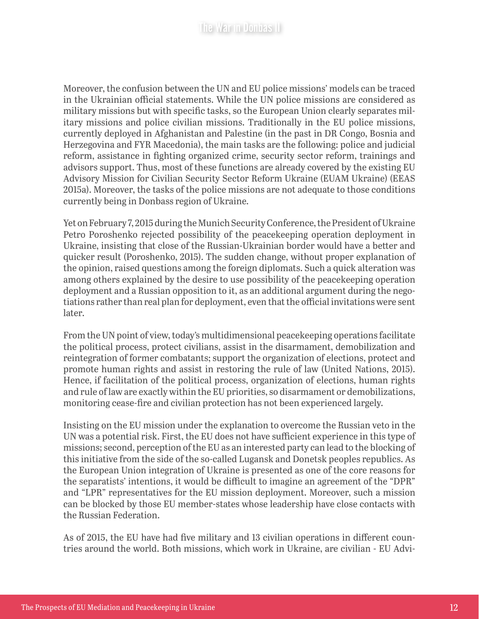Moreover, the confusion between the UN and EU police missions' models can be traced in the Ukrainian official statements. While the UN police missions are considered as military missions but with specific tasks, so the European Union clearly separates military missions and police civilian missions. Traditionally in the EU police missions, currently deployed in Afghanistan and Palestine (in the past in DR Congo, Bosnia and Herzegovina and FYR Macedonia), the main tasks are the following: police and judicial reform, assistance in fighting organized crime, security sector reform, trainings and advisors support. Thus, most of these functions are already covered by the existing EU Advisory Mission for Civilian Security Sector Reform Ukraine (EUAM Ukraine) (EEAS 2015a). Moreover, the tasks of the police missions are not adequate to those conditions currently being in Donbass region of Ukraine.

Yet on February 7, 2015 during the Munich Security Conference, the President of Ukraine Petro Poroshenko rejected possibility of the peacekeeping operation deployment in Ukraine, insisting that close of the Russian-Ukrainian border would have a better and quicker result (Poroshenko, 2015). The sudden change, without proper explanation of the opinion, raised questions among the foreign diplomats. Such a quick alteration was among others explained by the desire to use possibility of the peacekeeping operation deployment and a Russian opposition to it, as an additional argument during the negotiations rather than real plan for deployment, even that the official invitations were sent later.

From the UN point of view, today's multidimensional peacekeeping operations facilitate the political process, protect civilians, assist in the disarmament, demobilization and reintegration of former combatants; support the organization of elections, protect and promote human rights and assist in restoring the rule of law (United Nations, 2015). Hence, if facilitation of the political process, organization of elections, human rights and rule of law are exactly within the EU priorities, so disarmament or demobilizations, monitoring cease-fire and civilian protection has not been experienced largely.

Insisting on the EU mission under the explanation to overcome the Russian veto in the UN was a potential risk. First, the EU does not have sufficient experience in this type of missions; second, perception of the EU as an interested party can lead to the blocking of this initiative from the side of the so-called Lugansk and Donetsk peoples republics. As the European Union integration of Ukraine is presented as one of the core reasons for the separatists' intentions, it would be difficult to imagine an agreement of the "DPR" and "LPR" representatives for the EU mission deployment. Moreover, such a mission can be blocked by those EU member-states whose leadership have close contacts with the Russian Federation.

As of 2015, the EU have had five military and 13 civilian operations in different countries around the world. Both missions, which work in Ukraine, are civilian - EU Advi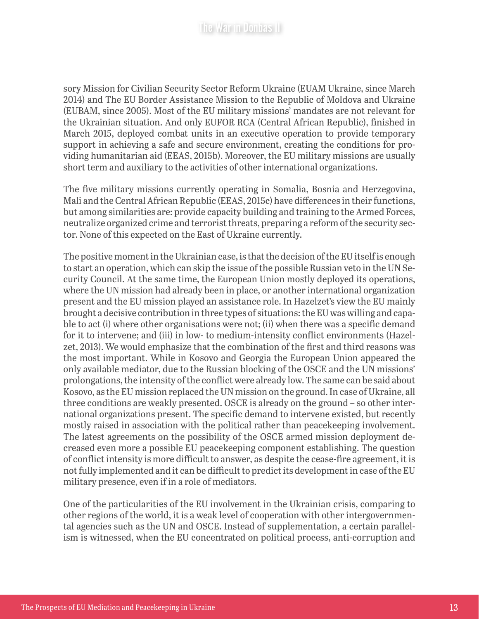sory Mission for Civilian Security Sector Reform Ukraine (EUAM Ukraine, since March 2014) and The EU Border Assistance Mission to the Republic of Moldova and Ukraine (EUBAM, since 2005). Most of the EU military missions' mandates are not relevant for the Ukrainian situation. And only EUFOR RCA (Central African Republic), finished in March 2015, deployed combat units in an executive operation to provide temporary support in achieving a safe and secure environment, creating the conditions for providing humanitarian aid (EEAS, 2015b). Moreover, the EU military missions are usually short term and auxiliary to the activities of other international organizations.

The five military missions currently operating in Somalia, Bosnia and Herzegovina, Mali and the Central African Republic (EEAS, 2015c) have differences in their functions, but among similarities are: provide capacity building and training to the Armed Forces, neutralize organized crime and terrorist threats, preparing a reform of the security sector. None of this expected on the East of Ukraine currently.

The positive moment in the Ukrainian case, is that the decision of the EU itself is enough to start an operation, which can skip the issue of the possible Russian veto in the UN Security Council. At the same time, the European Union mostly deployed its operations, where the UN mission had already been in place, or another international organization present and the EU mission played an assistance role. In Hazelzet's view the EU mainly brought a decisive contribution in three types of situations: the EU was willing and capable to act (i) where other organisations were not; (ii) when there was a specific demand for it to intervene; and (iii) in low- to medium-intensity conflict environments (Hazelzet, 2013). We would emphasize that the combination of the first and third reasons was the most important. While in Kosovo and Georgia the European Union appeared the only available mediator, due to the Russian blocking of the OSCE and the UN missions' prolongations, the intensity of the conflict were already low. The same can be said about Kosovo, as the EU mission replaced the UN mission on the ground. In case of Ukraine, all three conditions are weakly presented. OSCE is already on the ground – so other international organizations present. The specific demand to intervene existed, but recently mostly raised in association with the political rather than peacekeeping involvement. The latest agreements on the possibility of the OSCE armed mission deployment decreased even more a possible EU peacekeeping component establishing. The question of conflict intensity is more difficult to answer, as despite the cease-fire agreement, it is not fully implemented and it can be difficult to predict its development in case of the EU military presence, even if in a role of mediators.

One of the particularities of the EU involvement in the Ukrainian crisis, comparing to other regions of the world, it is a weak level of cooperation with other intergovernmental agencies such as the UN and OSCE. Instead of supplementation, a certain parallelism is witnessed, when the EU concentrated on political process, anti-corruption and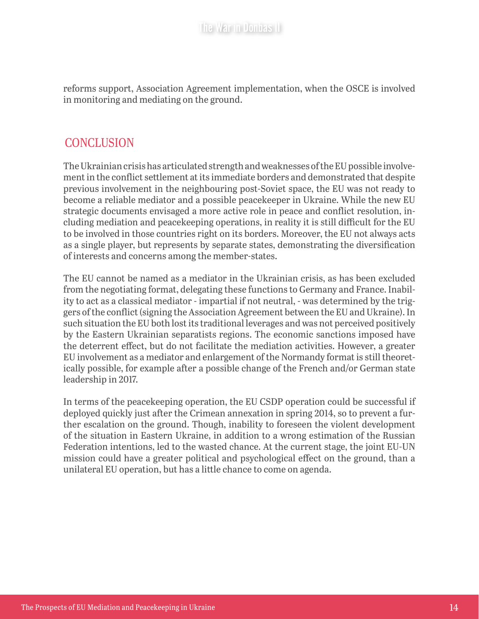reforms support, Association Agreement implementation, when the OSCE is involved in monitoring and mediating on the ground.

#### **CONCLUSION**

The Ukrainian crisis has articulated strength and weaknesses of the EU possible involvement in the conflict settlement at its immediate borders and demonstrated that despite previous involvement in the neighbouring post-Soviet space, the EU was not ready to become a reliable mediator and a possible peacekeeper in Ukraine. While the new EU strategic documents envisaged a more active role in peace and conflict resolution, including mediation and peacekeeping operations, in reality it is still difficult for the EU to be involved in those countries right on its borders. Moreover, the EU not always acts as a single player, but represents by separate states, demonstrating the diversification of interests and concerns among the member-states.

The EU cannot be named as a mediator in the Ukrainian crisis, as has been excluded from the negotiating format, delegating these functions to Germany and France. Inability to act as a classical mediator - impartial if not neutral, - was determined by the triggers of the conflict (signing the Association Agreement between the EU and Ukraine). In such situation the EU both lost its traditional leverages and was not perceived positively by the Eastern Ukrainian separatists regions. The economic sanctions imposed have the deterrent effect, but do not facilitate the mediation activities. However, a greater EU involvement as a mediator and enlargement of the Normandy format is still theoretically possible, for example after a possible change of the French and/or German state leadership in 2017.

In terms of the peacekeeping operation, the EU CSDP operation could be successful if deployed quickly just after the Crimean annexation in spring 2014, so to prevent a further escalation on the ground. Though, inability to foreseen the violent development of the situation in Eastern Ukraine, in addition to a wrong estimation of the Russian Federation intentions, led to the wasted chance. At the current stage, the joint EU-UN mission could have a greater political and psychological effect on the ground, than a unilateral EU operation, but has a little chance to come on agenda.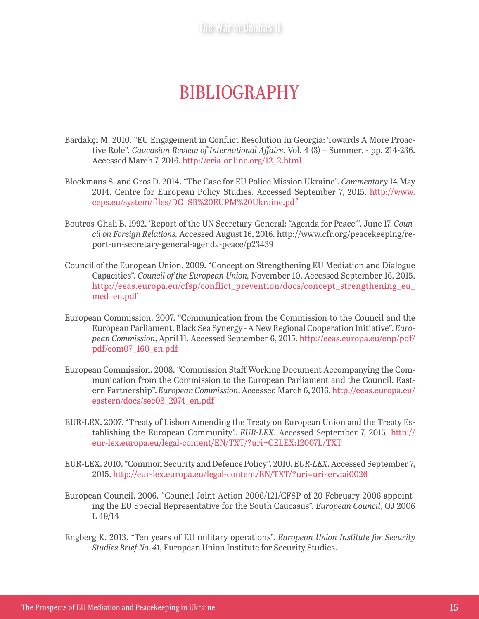The War in Donbas III

## BIBLIOGRAPHY

- Bardakçı M. 2010. "EU Engagement in Conflict Resolution In Georgia: Towards A More Proactive Role". *Caucasian Review of International Affairs*. Vol. 4 (3) – Summer. - pp. 214-236. Accessed March 7, 2016. [http://cria-online.org/12\\_2.html](http://cria-online.org/12_2.html)
- Blockmans S. and Gros D. 2014. "The Case for EU Police Mission Ukraine". *Commentary* 14 May 2014. Centre for European Policy Studies. Accessed September 7, 2015. [http://www.](http://www.ceps.eu/system/files/DG_SB%20EUPM%20Ukraine.pdf) [ceps.eu/system/files/DG\\_SB%20EUPM%20Ukraine.pdf](http://www.ceps.eu/system/files/DG_SB%20EUPM%20Ukraine.pdf)
- Boutros-Ghali B. 1992. 'Report of the UN Secretary-General: "Agenda for Peace"'. June 17. *Council on Foreign Relations.* Accessed August 16, 2016. http://www.cfr.org/peacekeeping/report-un-secretary-general-agenda-peace/p23439
- Council of the European Union. 2009. "Concept on Strengthening EU Mediation and Dialogue Capacities". *Council of the European Union,* November 10. Accessed September 16, 2015. [http://eeas.europa.eu/cfsp/conflict\\_prevention/docs/concept\\_strengthening\\_eu\\_](http://eeas.europa.eu/cfsp/conflict_prevention/docs/concept_strengthening_eu_med_en.pdf)\_\_\_ [med\\_en.pdf](http://eeas.europa.eu/cfsp/conflict_prevention/docs/concept_strengthening_eu_med_en.pdf)
- European Commission. 2007. "Communication from the Commission to the Council and the European Parliament. Black Sea Synergy - A New Regional Cooperation Initiative". *European Commission*, April 11. Accessed September 6, 2015. [http://eeas.europa.eu/enp/pdf/](http://eeas.europa.eu/enp/pdf/pdf/com07_160_en.pdf) [pdf/com07\\_160\\_en.pdf](http://eeas.europa.eu/enp/pdf/pdf/com07_160_en.pdf)
- European Commission. 2008. "Commission Staff Working Document Accompanying the Communication from the Commission to the European Parliament and the Council. Eastern Partnership". *European Commission*. Accessed March 6, 2016. [http://eeas.europa.eu/](http://eeas.europa.eu/eastern/docs/sec08_2974_en.pdf) [eastern/docs/sec08\\_2974\\_en.pdf](http://eeas.europa.eu/eastern/docs/sec08_2974_en.pdf)
- EUR-LEX. 2007. "Treaty of Lisbon Amending the Treaty on European Union and the Treaty Establishing the European Community". *EUR-LEX*. Accessed September 7, 2015. [http://](http://eur-lex.europa.eu/legal-content/EN/TXT/?uri=CELEX:12007L/TXT) [eur-lex.europa.eu/legal-content/EN/TXT/?uri=CELEX:12007L/TXT](http://eur-lex.europa.eu/legal-content/EN/TXT/?uri=CELEX:12007L/TXT)
- EUR-LEX. 2010. "Common Security and Defence Policy". 2010. *EUR-LEX*. Accessed September 7, 2015. <http://eur-lex.europa.eu/legal-content/EN/TXT/?uri=uriserv:ai0026>
- European Council. 2006. "Council Joint Action 2006/121/CFSP of 20 February 2006 appointing the EU Special Representative for the South Caucasus". *European Council*, OJ 2006 L 49/14
- Engberg K. 2013. "Ten years of EU military operations". *European Union Institute for Security Studies Brief No. 41,* European Union Institute for Security Studies.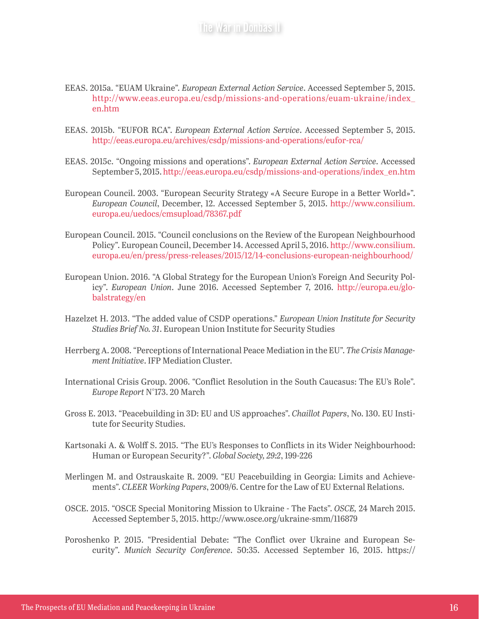#### EEAS. 2015a. "EUAM Ukraine". *European External Action Service*. Accessed September 5, 2015. [http://www.eeas.europa.eu/csdp/missions-and-operations/euam-ukraine/index\\_](http://www.eeas.europa.eu/csdp/missions-and-operations/euam-ukraine/index_en.htm) [en.htm](http://www.eeas.europa.eu/csdp/missions-and-operations/euam-ukraine/index_en.htm)

- EEAS. 2015b. "EUFOR RCA". *European External Action Service*. Accessed September 5, 2015. <http://eeas.europa.eu/archives/csdp/missions-and-operations/eufor-rca/>
- EEAS. 2015c. "Ongoing missions and operations". *European External Action Service*. Accessed September 5, 2015. [http://eeas.europa.eu/csdp/missions-and-operations/index\\_en.htm](http://eeas.europa.eu/csdp/missions-and-operations/index_en.htm)
- European Council. 2003. "European Security Strategy «A Secure Europe in a Better World»". *European Council*, December, 12. Accessed September 5, 2015. [http://www.consilium.](http://www.consilium.europa.eu/uedocs/cmsupload/78367.pdf) [europa.eu/uedocs/cmsupload/78367.pdf](http://www.consilium.europa.eu/uedocs/cmsupload/78367.pdf)
- European Council. 2015. "Council conclusions on the Review of the European Neighbourhood Policy". European Council, December 14. Accessed April 5, 2016. [http://www.consilium.](http://www.consilium.europa.eu/en/press/press-releases/2015/12/14-conclusions-european-neighbourhood/) [europa.eu/en/press/press-releases/2015/12/14-conclusions-european-neighbourhood/](http://www.consilium.europa.eu/en/press/press-releases/2015/12/14-conclusions-european-neighbourhood/)
- European Union. 2016. "A Global Strategy for the European Union's Foreign And Security Policy". *European Union*. June 2016. Accessed September 7, 2016. [http://europa.eu/glo](http://europa.eu/globalstrategy/en)[balstrategy/en](http://europa.eu/globalstrategy/en)
- Hazelzet H. 2013. "The added value of CSDP operations." *European Union Institute for Security Studies Brief No. 31*. European Union Institute for Security Studies
- Herrberg A. 2008. "Perceptions of International Peace Mediation in the EU". *The Crisis Management Initiative*. IFP Mediation Cluster.
- International Crisis Group. 2006. "Conflict Resolution in the South Caucasus: The EU's Role". *Europe Report* N°173. 20 March
- Gross E. 2013. "Peacebuilding in 3D: EU and US approaches". *Chaillot Papers*, No. 130. EU Institute for Security Studies.
- Kartsonaki A. & Wolff S. 2015. "The EU's Responses to Conflicts in its Wider Neighbourhood: Human or European Security?". *Global Society, 29:2*, 199-226
- Merlingen M. and Ostrauskaite R. 2009. "EU Peacebuilding in Georgia: Limits and Achievements". *CLEER Working Papers*, 2009/6. Centre for the Law of EU External Relations.
- OSCE. 2015. "OSCE Special Monitoring Mission to Ukraine The Facts". *OSCE,* 24 March 2015. Accessed September 5, 2015. http://www.osce.org/ukraine-smm/116879
- Poroshenko P. 2015. "Presidential Debate: "The Conflict over Ukraine and European Security". *Munich Security Conference*. 50:35. Accessed September 16, 2015. https://